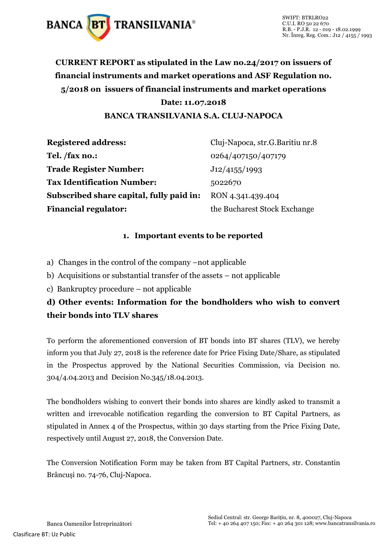

## **CURRENT REPORT as stipulated in the Law no.24/2017 on issuers of financial instruments and market operations and ASF Regulation no. 5/2018 on issuers of financial instruments and market operations Date: 11.07.2018 BANCA TRANSILVANIA S.A. CLUJ-NAPOCA**

**Registered address:** Cluj-Napoca, str.G.Baritiu nr.8 **Tel. /fax no.:** 0264/407150/407179 **Trade Register Number:** J12/4155/1993 **Tax Identification Number:** 5022670 **Subscribed share capital, fully paid in:** RON 4.341.439.404 **Financial regulator:** the Bucharest Stock Exchange

## **1. Important events to be reported**

- a) Changes in the control of the company –not applicable
- b) Acquisitions or substantial transfer of the assets not applicable
- c) Bankruptcy procedure not applicable

## **d) Other events: Information for the bondholders who wish to convert their bonds into TLV shares**

To perform the aforementioned conversion of BT bonds into BT shares (TLV), we hereby inform you that July 27, 2018 is the reference date for Price Fixing Date/Share, as stipulated in the Prospectus approved by the National Securities Commission, via Decision no. 304/4.04.2013 and Decision No.345/18.04.2013.

The bondholders wishing to convert their bonds into shares are kindly asked to transmit a written and irrevocable notification regarding the conversion to BT Capital Partners, as stipulated in Annex 4 of the Prospectus, within 30 days starting from the Price Fixing Date, respectively until August 27, 2018, the Conversion Date.

The Conversion Notification Form may be taken from BT Capital Partners, str. Constantin Brâncuşi no. 74-76, Cluj-Napoca.